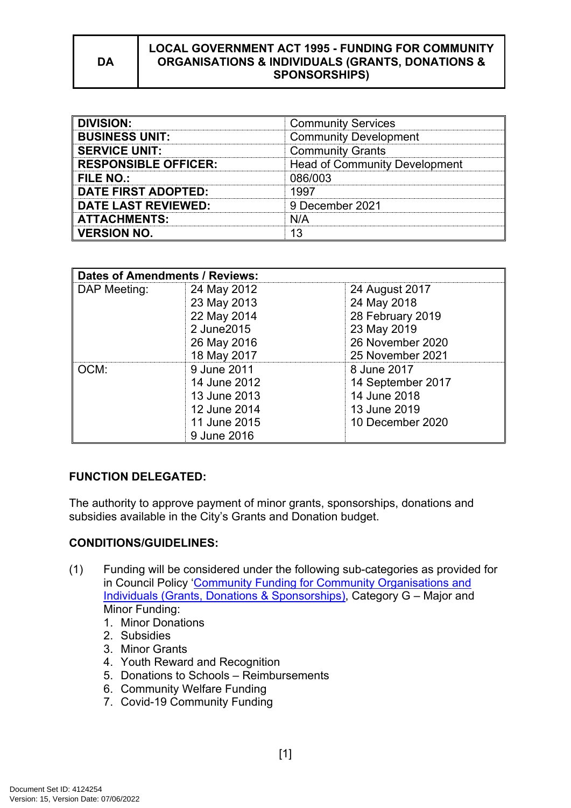#### **LOCAL GOVERNMENT ACT 1995 - FUNDING FOR COMMUNITY ORGANISATIONS & INDIVIDUALS (GRANTS, DONATIONS & SPONSORSHIPS)**

| <b>DIVISION:</b>            | <b>Community Services</b>            |  |
|-----------------------------|--------------------------------------|--|
| <b>BUSINESS UNIT:</b>       | <b>Community Development</b>         |  |
| <b>SERVICE UNIT:</b>        | <b>Community Grants</b>              |  |
| <b>RESPONSIBLE OFFICER:</b> | <b>Head of Community Development</b> |  |
| FILE NO.:                   | 086/003                              |  |
| <b>DATE FIRST ADOPTED:</b>  | 1997                                 |  |
| <b>DATE LAST REVIEWED:</b>  | 9 December 2021                      |  |
| <b>ATTACHMENTS:</b>         | N/A                                  |  |
| <b>VERSION NO.</b>          |                                      |  |

| <b>Dates of Amendments / Reviews:</b> |              |                   |
|---------------------------------------|--------------|-------------------|
| DAP Meeting:                          | 24 May 2012  | 24 August 2017    |
|                                       | 23 May 2013  | 24 May 2018       |
|                                       | 22 May 2014  | 28 February 2019  |
|                                       | 2 June 2015  | 23 May 2019       |
|                                       | 26 May 2016  | 26 November 2020  |
|                                       | 18 May 2017  | 25 November 2021  |
| OCM:                                  | 9 June 2011  | 8 June 2017       |
|                                       | 14 June 2012 | 14 September 2017 |
|                                       | 13 June 2013 | 14 June 2018      |
|                                       | 12 June 2014 | 13 June 2019      |
|                                       | 11 June 2015 | 10 December 2020  |
|                                       | 9 June 2016  |                   |

# **FUNCTION DELEGATED:**

The authority to approve payment of minor grants, sponsorships, donations and subsidies available in the City's Grants and Donation budget.

### **CONDITIONS/GUIDELINES:**

- (1) Funding will be considered under the following sub-categories as provided for in Council Policy ['Community Funding for Community Organisations and](https://www.cockburn.wa.gov.au/getattachment/28c3fe52-aeb1-42b4-b0c7-64d4398e4bef/ECM_8242612_v4_Community-Funding-for-Community-Organisations-Individuals-(Grants,-Donations-Sponsorships)-Policy-docx.aspx)  [Individuals \(Grants, Donations & Sponsorships\)](https://www.cockburn.wa.gov.au/getattachment/28c3fe52-aeb1-42b4-b0c7-64d4398e4bef/ECM_8242612_v4_Community-Funding-for-Community-Organisations-Individuals-(Grants,-Donations-Sponsorships)-Policy-docx.aspx), Category G – Major and Minor Funding:
	- 1. Minor Donations
	- 2. Subsidies
	- 3. Minor Grants
	- 4. Youth Reward and Recognition
	- 5. Donations to Schools Reimbursements
	- 6. Community Welfare Funding
	- 7. Covid-19 Community Funding